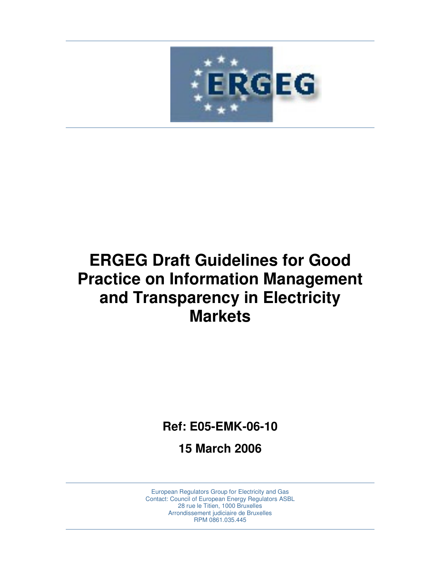

# **ERGEG Draft Guidelines for Good Practice on Information Management and Transparency in Electricity Markets**

**Ref: E05-EMK-06-10** 

**15 March 2006**

European Regulators Group for Electricity and Gas Contact: Council of European Energy Regulators ASBL 28 rue le Titien, 1000 Bruxelles Arrondissement judiciaire de Bruxelles RPM 0861.035.445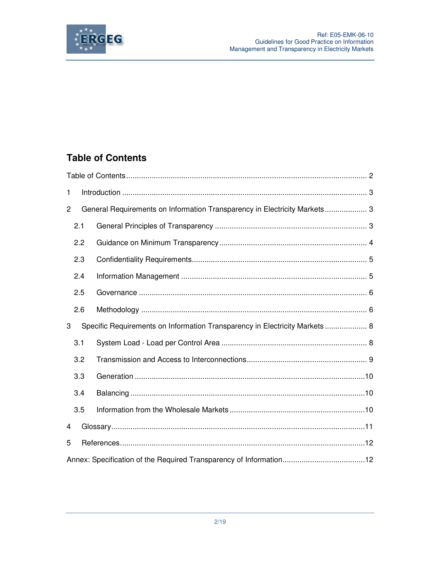

## **Table of Contents**

| 1 |     |                                                                             |  |  |  |
|---|-----|-----------------------------------------------------------------------------|--|--|--|
| 2 |     | General Requirements on Information Transparency in Electricity Markets 3   |  |  |  |
|   | 2.1 |                                                                             |  |  |  |
|   | 2.2 |                                                                             |  |  |  |
|   | 2.3 |                                                                             |  |  |  |
|   | 2.4 |                                                                             |  |  |  |
|   | 2.5 |                                                                             |  |  |  |
|   | 2.6 |                                                                             |  |  |  |
| 3 |     | Specific Requirements on Information Transparency in Electricity Markets  8 |  |  |  |
|   | 3.1 |                                                                             |  |  |  |
|   | 3.2 |                                                                             |  |  |  |
|   | 3.3 |                                                                             |  |  |  |
|   | 3.4 |                                                                             |  |  |  |
|   | 3.5 |                                                                             |  |  |  |
| 4 |     |                                                                             |  |  |  |
| 5 |     |                                                                             |  |  |  |
|   |     |                                                                             |  |  |  |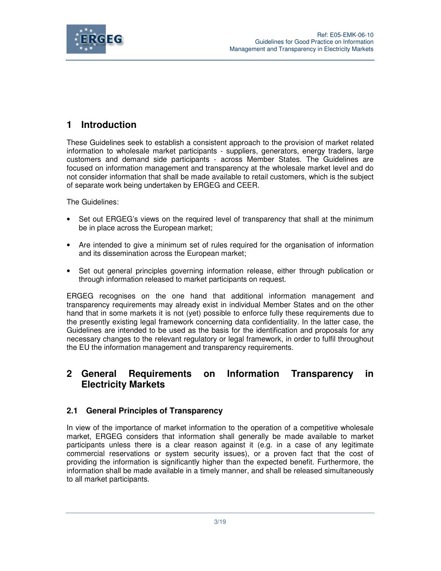

## **1 Introduction**

These Guidelines seek to establish a consistent approach to the provision of market related information to wholesale market participants - suppliers, generators, energy traders, large customers and demand side participants - across Member States. The Guidelines are focused on information management and transparency at the wholesale market level and do not consider information that shall be made available to retail customers, which is the subject of separate work being undertaken by ERGEG and CEER.

The Guidelines:

- Set out ERGEG's views on the required level of transparency that shall at the minimum be in place across the European market;
- Are intended to give a minimum set of rules required for the organisation of information and its dissemination across the European market;
- Set out general principles governing information release, either through publication or through information released to market participants on request.

ERGEG recognises on the one hand that additional information management and transparency requirements may already exist in individual Member States and on the other hand that in some markets it is not (yet) possible to enforce fully these requirements due to the presently existing legal framework concerning data confidentiality. In the latter case, the Guidelines are intended to be used as the basis for the identification and proposals for any necessary changes to the relevant regulatory or legal framework, in order to fulfil throughout the EU the information management and transparency requirements.

## **2 General Requirements on Information Transparency in Electricity Markets**

#### **2.1 General Principles of Transparency**

In view of the importance of market information to the operation of a competitive wholesale market, ERGEG considers that information shall generally be made available to market participants unless there is a clear reason against it (e.g. in a case of any legitimate commercial reservations or system security issues), or a proven fact that the cost of providing the information is significantly higher than the expected benefit. Furthermore, the information shall be made available in a timely manner, and shall be released simultaneously to all market participants.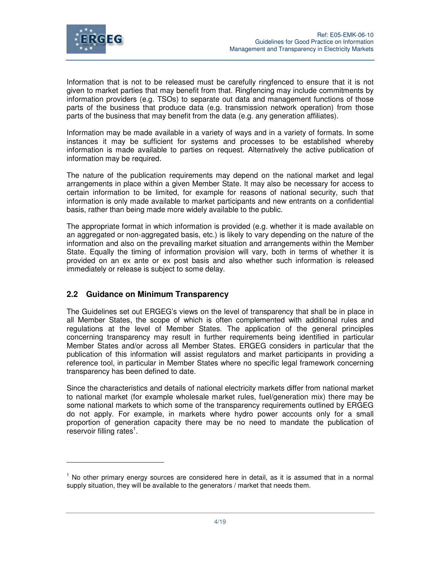

Information that is not to be released must be carefully ringfenced to ensure that it is not given to market parties that may benefit from that. Ringfencing may include commitments by information providers (e.g. TSOs) to separate out data and management functions of those parts of the business that produce data (e.g. transmission network operation) from those parts of the business that may benefit from the data (e.g. any generation affiliates).

Information may be made available in a variety of ways and in a variety of formats. In some instances it may be sufficient for systems and processes to be established whereby information is made available to parties on request. Alternatively the active publication of information may be required.

The nature of the publication requirements may depend on the national market and legal arrangements in place within a given Member State. It may also be necessary for access to certain information to be limited, for example for reasons of national security, such that information is only made available to market participants and new entrants on a confidential basis, rather than being made more widely available to the public.

The appropriate format in which information is provided (e.g. whether it is made available on an aggregated or non-aggregated basis, etc.) is likely to vary depending on the nature of the information and also on the prevailing market situation and arrangements within the Member State. Equally the timing of information provision will vary, both in terms of whether it is provided on an ex ante or ex post basis and also whether such information is released immediately or release is subject to some delay.

#### **2.2 Guidance on Minimum Transparency**

The Guidelines set out ERGEG's views on the level of transparency that shall be in place in all Member States, the scope of which is often complemented with additional rules and regulations at the level of Member States. The application of the general principles concerning transparency may result in further requirements being identified in particular Member States and/or across all Member States. ERGEG considers in particular that the publication of this information will assist regulators and market participants in providing a reference tool, in particular in Member States where no specific legal framework concerning transparency has been defined to date.

Since the characteristics and details of national electricity markets differ from national market to national market (for example wholesale market rules, fuel/generation mix) there may be some national markets to which some of the transparency requirements outlined by ERGEG do not apply. For example, in markets where hydro power accounts only for a small proportion of generation capacity there may be no need to mandate the publication of reservoir filling rates<sup>1</sup>.

<sup>&</sup>lt;sup>1</sup> No other primary energy sources are considered here in detail, as it is assumed that in a normal supply situation, they will be available to the generators / market that needs them.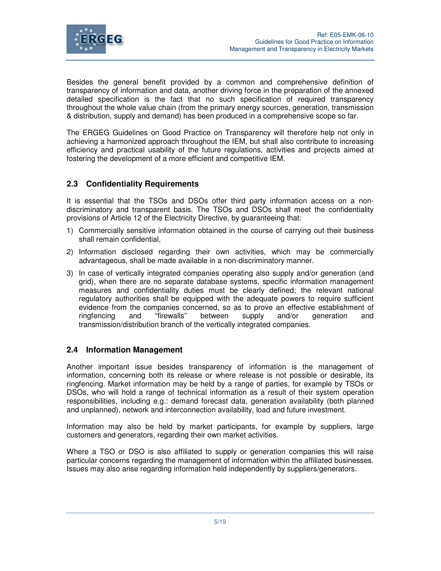

Besides the general benefit provided by a common and comprehensive definition of transparency of information and data, another driving force in the preparation of the annexed detailed specification is the fact that no such specification of required transparency throughout the whole value chain (from the primary energy sources, generation, transmission & distribution, supply and demand) has been produced in a comprehensive scope so far.

The ERGEG Guidelines on Good Practice on Transparency will therefore help not only in achieving a harmonized approach throughout the IEM, but shall also contribute to increasing efficiency and practical usability of the future regulations, activities and projects aimed at fostering the development of a more efficient and competitive IEM.

#### **2.3 Confidentiality Requirements**

It is essential that the TSOs and DSOs offer third party information access on a nondiscriminatory and transparent basis. The TSOs and DSOs shall meet the confidentiality provisions of Article 12 of the Electricity Directive, by guaranteeing that:

- 1) Commercially sensitive information obtained in the course of carrying out their business shall remain confidential,
- 2) Information disclosed regarding their own activities, which may be commercially advantageous, shall be made available in a non-discriminatory manner.
- 3) In case of vertically integrated companies operating also supply and/or generation (and grid), when there are no separate database systems, specific information management measures and confidentiality duties must be clearly defined; the relevant national regulatory authorities shall be equipped with the adequate powers to require sufficient evidence from the companies concerned, so as to prove an effective establishment of ringfencing and "firewalls" between supply and/or generation and transmission/distribution branch of the vertically integrated companies.

#### **2.4 Information Management**

Another important issue besides transparency of information is the management of information, concerning both its release or where release is not possible or desirable, its ringfencing. Market information may be held by a range of parties, for example by TSOs or DSOs, who will hold a range of technical information as a result of their system operation responsibilities, including e.g.: demand forecast data, generation availability (both planned and unplanned), network and interconnection availability, load and future investment.

Information may also be held by market participants, for example by suppliers, large customers and generators, regarding their own market activities.

Where a TSO or DSO is also affiliated to supply or generation companies this will raise particular concerns regarding the management of information within the affiliated businesses. Issues may also arise regarding information held independently by suppliers/generators.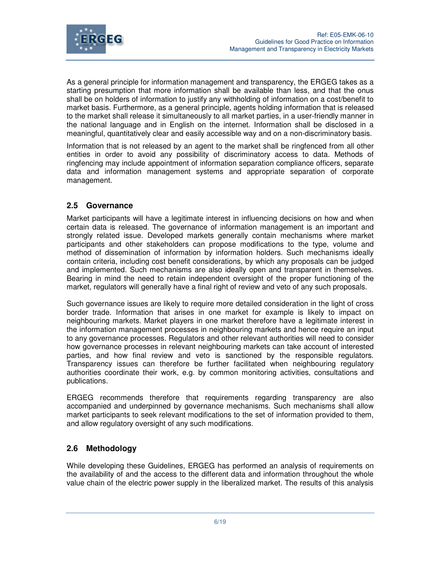

As a general principle for information management and transparency, the ERGEG takes as a starting presumption that more information shall be available than less, and that the onus shall be on holders of information to justify any withholding of information on a cost/benefit to market basis. Furthermore, as a general principle, agents holding information that is released to the market shall release it simultaneously to all market parties, in a user-friendly manner in the national language and in English on the internet. Information shall be disclosed in a meaningful, quantitatively clear and easily accessible way and on a non-discriminatory basis.

Information that is not released by an agent to the market shall be ringfenced from all other entities in order to avoid any possibility of discriminatory access to data. Methods of ringfencing may include appointment of information separation compliance officers, separate data and information management systems and appropriate separation of corporate management.

#### **2.5 Governance**

Market participants will have a legitimate interest in influencing decisions on how and when certain data is released. The governance of information management is an important and strongly related issue. Developed markets generally contain mechanisms where market participants and other stakeholders can propose modifications to the type, volume and method of dissemination of information by information holders. Such mechanisms ideally contain criteria, including cost benefit considerations, by which any proposals can be judged and implemented. Such mechanisms are also ideally open and transparent in themselves. Bearing in mind the need to retain independent oversight of the proper functioning of the market, regulators will generally have a final right of review and veto of any such proposals.

Such governance issues are likely to require more detailed consideration in the light of cross border trade. Information that arises in one market for example is likely to impact on neighbouring markets. Market players in one market therefore have a legitimate interest in the information management processes in neighbouring markets and hence require an input to any governance processes. Regulators and other relevant authorities will need to consider how governance processes in relevant neighbouring markets can take account of interested parties, and how final review and veto is sanctioned by the responsible regulators. Transparency issues can therefore be further facilitated when neighbouring regulatory authorities coordinate their work, e.g. by common monitoring activities, consultations and publications.

ERGEG recommends therefore that requirements regarding transparency are also accompanied and underpinned by governance mechanisms. Such mechanisms shall allow market participants to seek relevant modifications to the set of information provided to them, and allow regulatory oversight of any such modifications.

## **2.6 Methodology**

While developing these Guidelines, ERGEG has performed an analysis of requirements on the availability of and the access to the different data and information throughout the whole value chain of the electric power supply in the liberalized market. The results of this analysis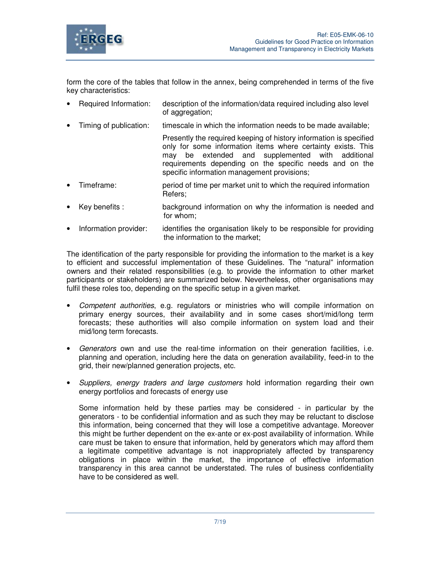

form the core of the tables that follow in the annex, being comprehended in terms of the five key characteristics:

- Required Information: description of the information/data required including also level of aggregation;
- Timing of publication: timescale in which the information needs to be made available;

Presently the required keeping of history information is specified only for some information items where certainty exists. This may be extended and supplemented with additional requirements depending on the specific needs and on the specific information management provisions;

- Timeframe: period of time per market unit to which the required information Refers;
- Key benefits : background information on why the information is needed and for whom;
- Information provider: identifies the organisation likely to be responsible for providing the information to the market;

The identification of the party responsible for providing the information to the market is a key to efficient and successful implementation of these Guidelines. The "natural" information owners and their related responsibilities (e.g. to provide the information to other market participants or stakeholders) are summarized below. Nevertheless, other organisations may fulfil these roles too, depending on the specific setup in a given market.

- Competent authorities, e.g. regulators or ministries who will compile information on primary energy sources, their availability and in some cases short/mid/long term forecasts; these authorities will also compile information on system load and their mid/long term forecasts.
- Generators own and use the real-time information on their generation facilities, i.e. planning and operation, including here the data on generation availability, feed-in to the grid, their new/planned generation projects, etc.
- Suppliers, energy traders and large customers hold information regarding their own energy portfolios and forecasts of energy use

Some information held by these parties may be considered - in particular by the generators - to be confidential information and as such they may be reluctant to disclose this information, being concerned that they will lose a competitive advantage. Moreover this might be further dependent on the ex-ante or ex-post availability of information. While care must be taken to ensure that information, held by generators which may afford them a legitimate competitive advantage is not inappropriately affected by transparency obligations in place within the market, the importance of effective information transparency in this area cannot be understated. The rules of business confidentiality have to be considered as well.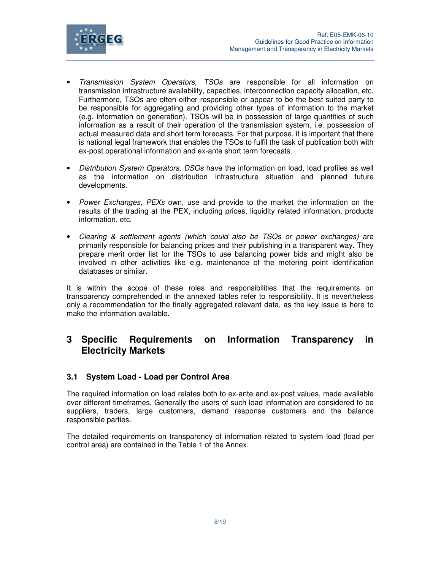

- Transmission System Operators, TSOs are responsible for all information on transmission infrastructure availability, capacities, interconnection capacity allocation, etc. Furthermore, TSOs are often either responsible or appear to be the best suited party to be responsible for aggregating and providing other types of information to the market (e.g. information on generation). TSOs will be in possession of large quantities of such information as a result of their operation of the transmission system, i.e. possession of actual measured data and short term forecasts. For that purpose, it is important that there is national legal framework that enables the TSOs to fulfil the task of publication both with ex-post operational information and ex-ante short term forecasts.
- Distribution System Operators, DSOs have the information on load, load profiles as well as the information on distribution infrastructure situation and planned future developments.
- Power Exchanges, PEXs own, use and provide to the market the information on the results of the trading at the PEX, including prices, liquidity related information, products information, etc.
- Clearing & settlement agents (which could also be TSOs or power exchanges) are primarily responsible for balancing prices and their publishing in a transparent way. They prepare merit order list for the TSOs to use balancing power bids and might also be involved in other activities like e.g. maintenance of the metering point identification databases or similar.

It is within the scope of these roles and responsibilities that the requirements on transparency comprehended in the annexed tables refer to responsibility. It is nevertheless only a recommendation for the finally aggregated relevant data, as the key issue is here to make the information available.

## **3 Specific Requirements on Information Transparency in Electricity Markets**

#### **3.1 System Load - Load per Control Area**

The required information on load relates both to ex-ante and ex-post values, made available over different timeframes. Generally the users of such load information are considered to be suppliers, traders, large customers, demand response customers and the balance responsible parties.

The detailed requirements on transparency of information related to system load (load per control area) are contained in the Table 1 of the Annex.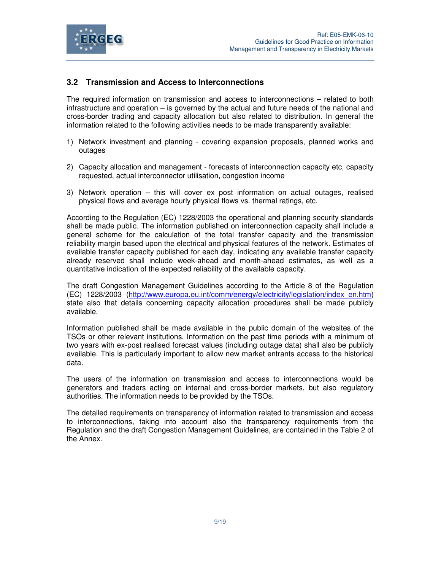

### **3.2 Transmission and Access to Interconnections**

The required information on transmission and access to interconnections – related to both infrastructure and operation – is governed by the actual and future needs of the national and cross-border trading and capacity allocation but also related to distribution. In general the information related to the following activities needs to be made transparently available:

- 1) Network investment and planning covering expansion proposals, planned works and outages
- 2) Capacity allocation and management forecasts of interconnection capacity etc, capacity requested, actual interconnector utilisation, congestion income
- 3) Network operation this will cover ex post information on actual outages, realised physical flows and average hourly physical flows vs. thermal ratings, etc.

According to the Regulation (EC) 1228/2003 the operational and planning security standards shall be made public. The information published on interconnection capacity shall include a general scheme for the calculation of the total transfer capacity and the transmission reliability margin based upon the electrical and physical features of the network. Estimates of available transfer capacity published for each day, indicating any available transfer capacity already reserved shall include week-ahead and month-ahead estimates, as well as a quantitative indication of the expected reliability of the available capacity.

The draft Congestion Management Guidelines according to the Article 8 of the Regulation (EC) 1228/2003 (http://www.europa.eu.int/comm/energy/electricity/legislation/index\_en.htm) state also that details concerning capacity allocation procedures shall be made publicly available.

Information published shall be made available in the public domain of the websites of the TSOs or other relevant institutions. Information on the past time periods with a minimum of two years with ex-post realised forecast values (including outage data) shall also be publicly available. This is particularly important to allow new market entrants access to the historical data.

The users of the information on transmission and access to interconnections would be generators and traders acting on internal and cross-border markets, but also regulatory authorities. The information needs to be provided by the TSOs.

The detailed requirements on transparency of information related to transmission and access to interconnections, taking into account also the transparency requirements from the Regulation and the draft Congestion Management Guidelines, are contained in the Table 2 of the Annex.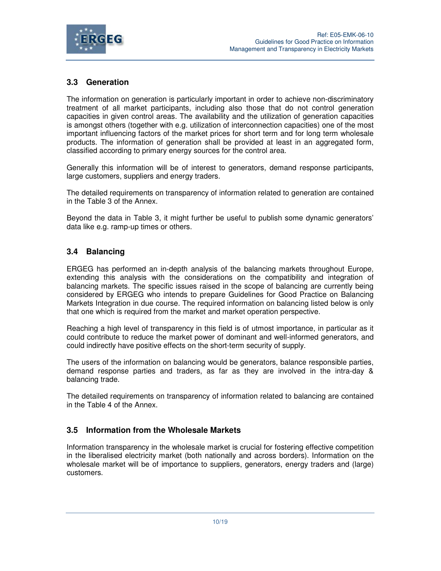

## **3.3 Generation**

The information on generation is particularly important in order to achieve non-discriminatory treatment of all market participants, including also those that do not control generation capacities in given control areas. The availability and the utilization of generation capacities is amongst others (together with e.g. utilization of interconnection capacities) one of the most important influencing factors of the market prices for short term and for long term wholesale products. The information of generation shall be provided at least in an aggregated form, classified according to primary energy sources for the control area.

Generally this information will be of interest to generators, demand response participants, large customers, suppliers and energy traders.

The detailed requirements on transparency of information related to generation are contained in the Table 3 of the Annex.

Beyond the data in Table 3, it might further be useful to publish some dynamic generators' data like e.g. ramp-up times or others.

## **3.4 Balancing**

ERGEG has performed an in-depth analysis of the balancing markets throughout Europe, extending this analysis with the considerations on the compatibility and integration of balancing markets. The specific issues raised in the scope of balancing are currently being considered by ERGEG who intends to prepare Guidelines for Good Practice on Balancing Markets Integration in due course. The required information on balancing listed below is only that one which is required from the market and market operation perspective.

Reaching a high level of transparency in this field is of utmost importance, in particular as it could contribute to reduce the market power of dominant and well-informed generators, and could indirectly have positive effects on the short-term security of supply.

The users of the information on balancing would be generators, balance responsible parties, demand response parties and traders, as far as they are involved in the intra-day & balancing trade.

The detailed requirements on transparency of information related to balancing are contained in the Table 4 of the Annex.

#### **3.5 Information from the Wholesale Markets**

Information transparency in the wholesale market is crucial for fostering effective competition in the liberalised electricity market (both nationally and across borders). Information on the wholesale market will be of importance to suppliers, generators, energy traders and (large) customers.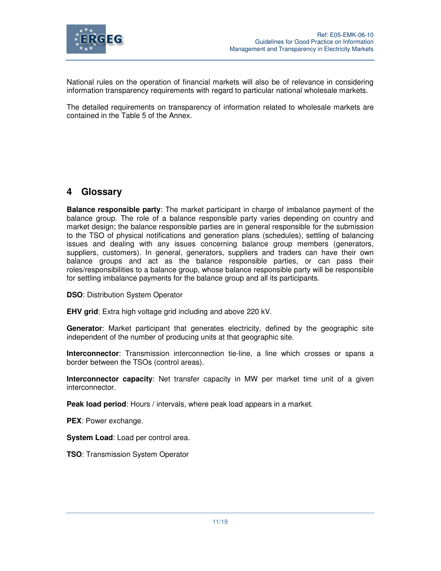

National rules on the operation of financial markets will also be of relevance in considering information transparency requirements with regard to particular national wholesale markets.

The detailed requirements on transparency of information related to wholesale markets are contained in the Table 5 of the Annex.

## **4 Glossary**

**Balance responsible party**: The market participant in charge of imbalance payment of the balance group. The role of a balance responsible party varies depending on country and market design; the balance responsible parties are in general responsible for the submission to the TSO of physical notifications and generation plans (schedules), settling of balancing issues and dealing with any issues concerning balance group members (generators, suppliers, customers). In general, generators, suppliers and traders can have their own balance groups and act as the balance responsible parties, or can pass their roles/responsibilities to a balance group, whose balance responsible party will be responsible for settling imbalance payments for the balance group and all its participants.

**DSO**: Distribution System Operator

**EHV grid**: Extra high voltage grid including and above 220 kV.

**Generator**: Market participant that generates electricity, defined by the geographic site independent of the number of producing units at that geographic site.

**Interconnector**: Transmission interconnection tie-line, a line which crosses or spans a border between the TSOs (control areas).

**Interconnector capacity**: Net transfer capacity in MW per market time unit of a given interconnector.

**Peak load period**: Hours / intervals, where peak load appears in a market.

**PEX**: Power exchange.

**System Load**: Load per control area.

**TSO**: Transmission System Operator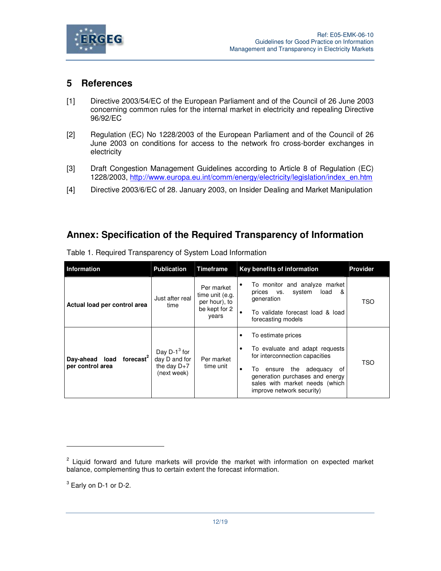

## **5 References**

- [1] Directive 2003/54/EC of the European Parliament and of the Council of 26 June 2003 concerning common rules for the internal market in electricity and repealing Directive 96/92/EC
- [2] Regulation (EC) No 1228/2003 of the European Parliament and of the Council of 26 June 2003 on conditions for access to the network fro cross-border exchanges in electricity
- [3] Draft Congestion Management Guidelines according to Article 8 of Regulation (EC) 1228/2003, http://www.europa.eu.int/comm/energy/electricity/legislation/index\_en.htm
- [4] Directive 2003/6/EC of 28. January 2003, on Insider Dealing and Market Manipulation

## **Annex: Specification of the Required Transparency of Information**

| <b>Information</b>                                          | <b>Publication</b>                                               | <b>Timeframe</b>                                                         | <b>Key benefits of information</b>                                                                                                                                                                                                            | <b>Provider</b> |
|-------------------------------------------------------------|------------------------------------------------------------------|--------------------------------------------------------------------------|-----------------------------------------------------------------------------------------------------------------------------------------------------------------------------------------------------------------------------------------------|-----------------|
| Actual load per control area                                | Just after real<br>time                                          | Per market<br>time unit (e.g.<br>per hour), to<br>be kept for 2<br>years | To monitor and analyze market<br>٠<br>svstem<br>load<br>prices vs.<br>&<br>generation<br>To validate forecast load & load<br>forecasting models                                                                                               | TSO             |
| forecast <sup>2</sup><br>Day-ahead load<br>per control area | Day $D-1^3$ for<br>day D and for<br>the day $D+7$<br>(next week) | Per market<br>time unit                                                  | To estimate prices<br>٠<br>To evaluate and adapt requests<br>٠<br>for interconnection capacities<br>the adequacy<br>ensure<br>To<br>0f<br>٠<br>generation purchases and energy<br>sales with market needs (which<br>improve network security) | TSO             |

Table 1. Required Transparency of System Load Information

 $^3$  Early on D-1 or D-2.

 $\overline{a}$ 

<sup>&</sup>lt;sup>2</sup> Liquid forward and future markets will provide the market with information on expected market balance, complementing thus to certain extent the forecast information.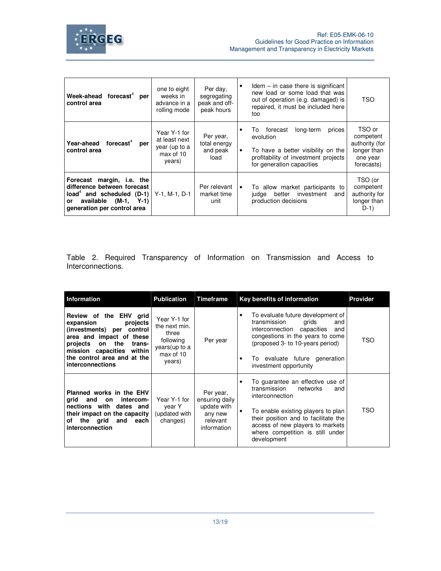

| Week-ahead forecast <sup>4</sup> per<br>control area                                                                                                      | one to eight<br>weeks in<br>advance in a<br>rolling mode              | Per day.<br>segregating<br>peak and off-<br>peak hours | $Idem - in case there is significant$<br>٠<br>new load or some load that was<br>TSO<br>out of operation (e.g. damaged) is<br>repaired, it must be included here<br>too                                                                                            |
|-----------------------------------------------------------------------------------------------------------------------------------------------------------|-----------------------------------------------------------------------|--------------------------------------------------------|-------------------------------------------------------------------------------------------------------------------------------------------------------------------------------------------------------------------------------------------------------------------|
| forecast $4$<br>Year-ahead<br>per<br>control area                                                                                                         | Year Y-1 for<br>at least next<br>year (up to a<br>max of 10<br>years) | Per year,<br>total energy<br>and peak<br>load          | TSO or<br>long-term<br>To<br>forecast<br>prices<br>٠<br>competent<br>evolution<br>authority (for<br>longer than<br>To have a better visibility on the<br>$\bullet$<br>profitability of investment projects<br>one year<br>for generation capacities<br>forecasts) |
| Forecast margin, i.e. the<br>difference between forecast<br>$load4$ and scheduled (D-1)<br>$(M-1, Y-1)$<br>available<br>or<br>generation per control area | $Y-1$ , M-1, D-1                                                      | Per relevant<br>market time<br>unit                    | TSO (or<br>To allow market participants to<br>competent<br>٠<br>authority for<br>investment<br>better<br>judge<br>and<br>longer than<br>production decisions<br>$D-1)$                                                                                            |

Table 2. Required Transparency of Information on Transmission and Access to Interconnections.

| <b>Information</b>                                                                                                                                                                                                             | <b>Publication</b>                                                                           | Timeframe                                                                        | Key benefits of information                                                                                                                                                                                                                                                   | <b>Provider</b> |
|--------------------------------------------------------------------------------------------------------------------------------------------------------------------------------------------------------------------------------|----------------------------------------------------------------------------------------------|----------------------------------------------------------------------------------|-------------------------------------------------------------------------------------------------------------------------------------------------------------------------------------------------------------------------------------------------------------------------------|-----------------|
| Review of the EHV grid<br>expansion<br>projects<br>(investments) per control<br>area and impact of these<br>the<br>projects<br>on<br>trans-<br>mission capacities<br>within<br>the control area and at the<br>interconnections | Year Y-1 for<br>the next min.<br>three<br>following<br>years (up to a<br>max of 10<br>years) | Per year                                                                         | To evaluate future development of<br>٠<br>transmission<br>grids<br>and<br>capacities<br>interconnection<br>and<br>congestions in the years to come<br>(proposed 3- to 10-years period)<br>To evaluate future generation<br>$\bullet$<br>investment opportunity                | TSO             |
| Planned works in the EHV<br>arid<br>and<br>intercom-<br>on<br>nections with dates and<br>their impact on the capacity<br>of the grid<br>and each<br>interconnection                                                            | Year Y-1 for<br>year Y<br>(updated with<br>changes)                                          | Per year,<br>ensuring daily<br>update with<br>any new<br>relevant<br>information | To guarantee an effective use of<br>٠<br>transmission<br>networks<br>and<br>interconnection<br>To enable existing players to plan<br>$\bullet$<br>their position and to facilitate the<br>access of new players to markets<br>where competition is still under<br>development | TSO             |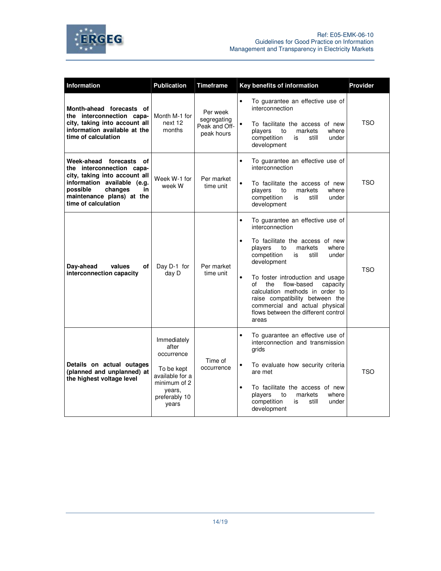



| <b>Information</b>                                                                                                                                                                                    | <b>Publication</b>                                                                                                      | <b>Timeframe</b>                                       | Key benefits of information                                                                                                                                                                                                                                                                                                                                                                                                                                 | <b>Provider</b> |
|-------------------------------------------------------------------------------------------------------------------------------------------------------------------------------------------------------|-------------------------------------------------------------------------------------------------------------------------|--------------------------------------------------------|-------------------------------------------------------------------------------------------------------------------------------------------------------------------------------------------------------------------------------------------------------------------------------------------------------------------------------------------------------------------------------------------------------------------------------------------------------------|-----------------|
| Month-ahead forecasts of<br>the interconnection capa-<br>city, taking into account all<br>information available at the<br>time of calculation                                                         | Month M-1 for<br>next 12<br>months                                                                                      | Per week<br>segregating<br>Peak and Off-<br>peak hours | $\bullet$<br>To guarantee an effective use of<br>interconnection<br>To facilitate the access of new<br>$\bullet$<br>markets<br>players<br>where<br>to<br>competition<br>under<br>still<br>is<br>development                                                                                                                                                                                                                                                 | <b>TSO</b>      |
| Week-ahead forecasts of<br>the interconnection capa-<br>city, taking into account all<br>information available (e.g.<br>possible<br>changes<br>in<br>maintenance plans) at the<br>time of calculation | Week W-1 for<br>week W                                                                                                  | Per market<br>time unit                                | To guarantee an effective use of<br>$\bullet$<br>interconnection<br>$\bullet$<br>To facilitate the access of new<br>where<br>players<br>markets<br>to<br>competition<br>still<br>is<br>under<br>development                                                                                                                                                                                                                                                 | <b>TSO</b>      |
| of l<br>Day-ahead<br>values<br>interconnection capacity                                                                                                                                               | Day D-1 for<br>day D                                                                                                    | Per market<br>time unit                                | To guarantee an effective use of<br>$\bullet$<br>interconnection<br>To facilitate the access of new<br>$\bullet$<br>where<br>players<br>to<br>markets<br>competition<br>still<br>under<br>is<br>development<br>To foster introduction and usage<br>$\bullet$<br>of<br>the<br>flow-based<br>capacity<br>calculation methods in order to<br>raise compatibility between the<br>commercial and actual physical<br>flows between the different control<br>areas | TSO             |
| Details on actual outages<br>(planned and unplanned) at<br>the highest voltage level                                                                                                                  | Immediately<br>after<br>occurrence<br>To be kept<br>available for a<br>minimum of 2<br>years.<br>preferably 10<br>years | Time of<br>occurrence                                  | To quarantee an effective use of<br>$\bullet$<br>interconnection and transmission<br>grids<br>To evaluate how security criteria<br>$\bullet$<br>are met<br>$\bullet$<br>To facilitate the access of new<br>markets<br>players<br>where<br>to<br>competition<br>still<br>under<br>is<br>development                                                                                                                                                          | TSO             |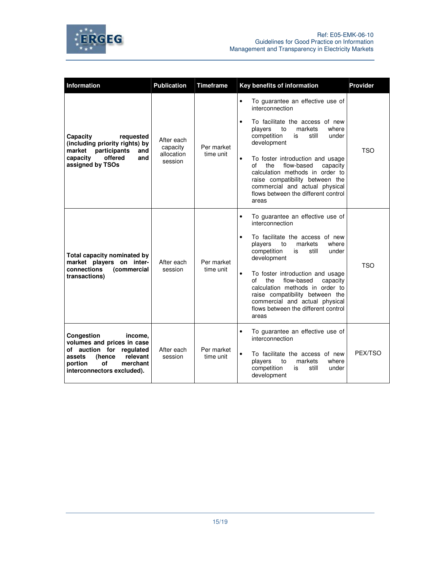



| <b>Information</b>                                                                                                                                                         | <b>Publication</b>                              | <b>Timeframe</b>        | Key benefits of information<br><b>Provider</b>                                                                                                                                                                                                                                                                                                                                                                                                                            |
|----------------------------------------------------------------------------------------------------------------------------------------------------------------------------|-------------------------------------------------|-------------------------|---------------------------------------------------------------------------------------------------------------------------------------------------------------------------------------------------------------------------------------------------------------------------------------------------------------------------------------------------------------------------------------------------------------------------------------------------------------------------|
| Capacity<br>requested<br>(including priority rights) by<br>market<br>participants<br>and<br>offered<br>capacity<br>and<br>assigned by TSOs                                 | After each<br>capacity<br>allocation<br>session | Per market<br>time unit | To guarantee an effective use of<br>$\bullet$<br>interconnection<br>To facilitate the access of new<br>$\bullet$<br>where<br>players<br>markets<br>to<br>competition<br>is<br>still<br>under<br>development<br><b>TSO</b><br>$\bullet$<br>To foster introduction and usage<br>of<br>the<br>flow-based<br>capacity<br>calculation methods in order to<br>raise compatibility between the<br>commercial and actual physical                                                 |
|                                                                                                                                                                            |                                                 |                         | flows between the different control<br>areas                                                                                                                                                                                                                                                                                                                                                                                                                              |
| Total capacity nominated by<br>market players on inter-<br>connections<br>(commercial<br>transactions)                                                                     | After each<br>session                           | Per market<br>time unit | To guarantee an effective use of<br>$\bullet$<br>interconnection<br>To facilitate the access of new<br>$\bullet$<br>players<br>markets<br>where<br>to<br>competition<br>still<br>is<br>under<br>development<br><b>TSO</b><br>To foster introduction and usage<br>$\bullet$<br>of<br>the<br>flow-based<br>capacity<br>calculation methods in order to<br>raise compatibility between the<br>commercial and actual physical<br>flows between the different control<br>areas |
| Congestion<br>income.<br>volumes and prices in case<br>of auction for regulated<br>relevant<br>assets<br>(hence<br>of<br>merchant<br>portion<br>interconnectors excluded). | After each<br>session                           | Per market<br>time unit | To guarantee an effective use of<br>$\bullet$<br>interconnection<br>PEX/TSO<br>To facilitate the access of new<br>$\bullet$<br>players<br>markets<br>where<br>to<br>competition<br>still<br>is<br>under<br>development                                                                                                                                                                                                                                                    |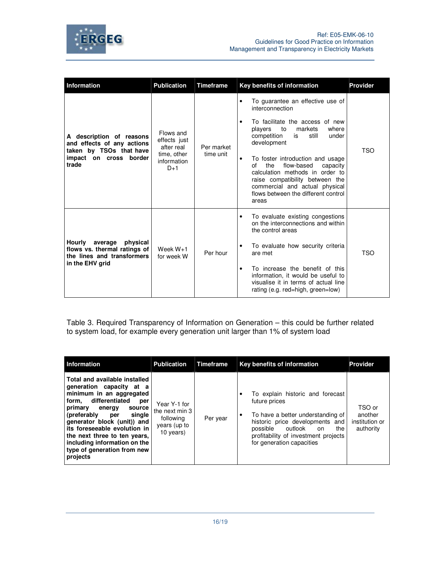

| <b>Information</b>                                                                          | <b>Publication</b>                                                             | <b>Timeframe</b>        |           | Key benefits of information                                                                                                                                                                                                     | <b>Provider</b> |
|---------------------------------------------------------------------------------------------|--------------------------------------------------------------------------------|-------------------------|-----------|---------------------------------------------------------------------------------------------------------------------------------------------------------------------------------------------------------------------------------|-----------------|
|                                                                                             | Flows and<br>effects just<br>after real<br>time, other<br>information<br>$D+1$ | Per market<br>time unit |           | To guarantee an effective use of<br>interconnection                                                                                                                                                                             |                 |
| A description of reasons<br>and effects of any actions<br>taken by TSOs that have           |                                                                                |                         | $\bullet$ | To facilitate the access of new<br>to<br>markets<br>where<br>players<br>competition<br>under<br>is<br>still<br>development                                                                                                      | TSO             |
| on cross border<br>impact<br>trade                                                          |                                                                                |                         | $\bullet$ | To foster introduction and usage<br>the<br>flow-based<br>capacity<br>οf<br>calculation methods in order to<br>raise compatibility between the<br>commercial and actual physical<br>flows between the different control<br>areas |                 |
|                                                                                             | Week $W+1$<br>for week W                                                       | Per hour                | ٠         | To evaluate existing congestions<br>on the interconnections and within<br>the control areas                                                                                                                                     |                 |
| Hourly<br>average<br>physical<br>flows vs. thermal ratings of<br>the lines and transformers |                                                                                |                         |           | To evaluate how security criteria<br>are met                                                                                                                                                                                    | TSO             |
| in the EHV grid                                                                             |                                                                                |                         | ٠         | To increase the benefit of this<br>information, it would be useful to<br>visualise it in terms of actual line<br>rating (e.g. red=high, green=low)                                                                              |                 |

Table 3. Required Transparency of Information on Generation – this could be further related to system load, for example every generation unit larger than 1% of system load

| <b>Information</b>                                                                                                                                                                                                                                                                                                                                               | <b>Publication</b>                                                       | Timeframe | Key benefits of information                                                                                                                                                                                                                   | <b>Provider</b>                                  |
|------------------------------------------------------------------------------------------------------------------------------------------------------------------------------------------------------------------------------------------------------------------------------------------------------------------------------------------------------------------|--------------------------------------------------------------------------|-----------|-----------------------------------------------------------------------------------------------------------------------------------------------------------------------------------------------------------------------------------------------|--------------------------------------------------|
| Total and available installed<br>generation capacity at a<br>minimum in an aggregated<br>differentiated<br>form.<br>per<br>primary<br>energy<br>source<br>(preferably<br>single<br>per<br>generator block (unit)) and<br>its foreseeable evolution in<br>the next three to ten years.<br>including information on the<br>type of generation from new<br>projects | Year Y-1 for<br>the next min 3<br>following<br>years (up to<br>10 years) | Per year  | To explain historic and forecast<br>٠<br>future prices<br>To have a better understanding of<br>٠<br>historic price developments and<br>possible<br>outlook<br>the<br>on.<br>profitability of investment projects<br>for generation capacities | TSO or<br>another<br>institution or<br>authority |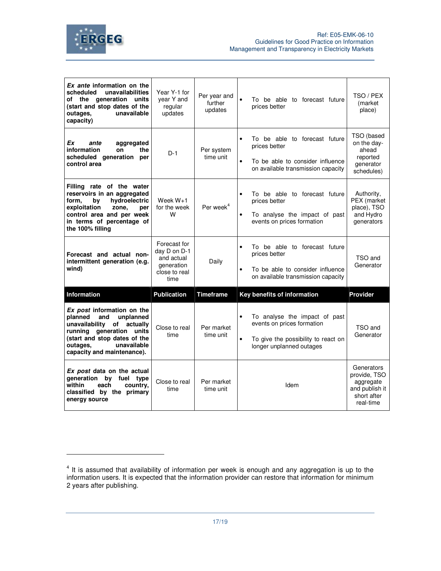

| Ex ante information on the<br>scheduled<br>unavailabilities<br>of the generation units<br>(start and stop dates of the<br>unavailable<br>outages,<br>capacity)                                               | Year Y-1 for<br>year Y and<br>regular<br>updates                                  | Per year and<br>further<br>updates | To be able to forecast future<br>prices better                                                                                                     | TSO / PEX<br>(market<br>place)                                            |
|--------------------------------------------------------------------------------------------------------------------------------------------------------------------------------------------------------------|-----------------------------------------------------------------------------------|------------------------------------|----------------------------------------------------------------------------------------------------------------------------------------------------|---------------------------------------------------------------------------|
| Ex<br>ante<br>aggregated<br>information<br>the<br>on<br>scheduled generation<br>per<br>control area                                                                                                          | $D-1$                                                                             | Per system<br>time unit            | To be able to forecast future<br>$\bullet$<br>prices better<br>To be able to consider influence<br>$\bullet$<br>on available transmission capacity | TSO (based<br>on the day-<br>ahead<br>reported<br>generator<br>schedules) |
| Filling rate of the water<br>reservoirs in an aggregated<br>hydroelectric<br>form.<br>bν<br>exploitation<br>zone.<br>per<br>control area and per week<br>in terms of percentage of<br>the 100% filling       | Week $W+1$<br>for the week<br>W                                                   | Per week <sup>4</sup>              | To be able to forecast future<br>$\bullet$<br>prices better<br>To analyse the impact of past<br>$\bullet$<br>events on prices formation            | Authority,<br>PEX (market<br>place), TSO<br>and Hydro<br>generators       |
| Forecast and actual non-<br>intermittent generation (e.g.<br>wind)                                                                                                                                           | Forecast for<br>day D on D-1<br>and actual<br>generation<br>close to real<br>time | Daily                              | To be able to forecast future<br>$\bullet$<br>prices better<br>To be able to consider influence<br>$\bullet$<br>on available transmission capacity | TSO and<br>Generator                                                      |
| Information                                                                                                                                                                                                  | <b>Publication</b>                                                                | <b>Timeframe</b>                   | Key benefits of information                                                                                                                        | Provider                                                                  |
| Ex post information on the<br>planned<br>and<br>unplanned<br>unavailability of actually<br>running generation units<br>(start and stop dates of the<br>unavailable<br>outages,<br>capacity and maintenance). | Close to real<br>time                                                             | Per market<br>time unit            | To analyse the impact of past<br>events on prices formation<br>To give the possibility to react on<br>$\bullet$<br>longer unplanned outages        | TSO and<br>Generator                                                      |
| Ex post data on the actual<br>generation by<br>fuel type<br>within<br>each<br>country.                                                                                                                       | Close to real                                                                     | Per market                         |                                                                                                                                                    | Generators<br>provide, TSO<br>aggregate                                   |

 $4$  It is assumed that availability of information per week is enough and any aggregation is up to the information users. It is expected that the information provider can restore that information for minimum 2 years after publishing.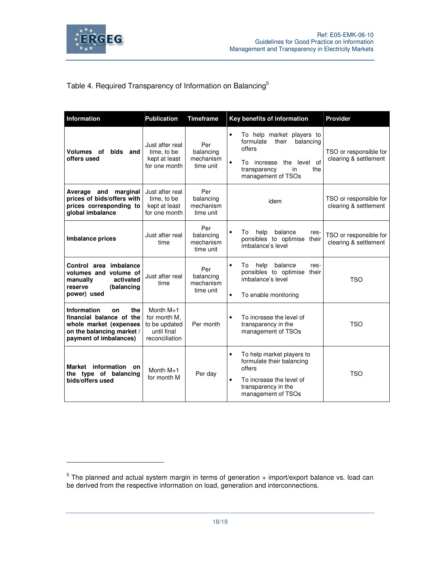

## Table 4. Required Transparency of Information on Balancing<sup>5</sup>

| <b>Information</b>                                                                                                                           | <b>Publication</b>                                                            | <b>Timeframe</b>                           | Key benefits of information                                                                                                                                                        | Provider                                        |
|----------------------------------------------------------------------------------------------------------------------------------------------|-------------------------------------------------------------------------------|--------------------------------------------|------------------------------------------------------------------------------------------------------------------------------------------------------------------------------------|-------------------------------------------------|
| bids and<br>Volumes of<br>offers used                                                                                                        | Just after real<br>time, to be<br>kept at least<br>for one month              | Per<br>balancing<br>mechanism<br>time unit | To help market players to<br>$\bullet$<br>formulate<br>balancing<br>their<br>offers<br>$\bullet$<br>increase the level of<br>To<br>in<br>the<br>transparency<br>management of TSOs | TSO or responsible for<br>clearing & settlement |
| marginal<br>Average and<br>prices of bids/offers with<br>prices corresponding to<br>global imbalance                                         | Just after real<br>time, to be<br>kept at least<br>for one month              | Per<br>balancing<br>mechanism<br>time unit | idem                                                                                                                                                                               | TSO or responsible for<br>clearing & settlement |
| <b>Imbalance prices</b>                                                                                                                      | Just after real<br>time                                                       | Per<br>balancing<br>mechanism<br>time unit | help<br>balance<br>Т٥<br>res-<br>ponsibles to optimise their<br>imbalance's level                                                                                                  | TSO or responsible for<br>clearing & settlement |
| Control area imbalance<br>volumes and<br>volume of<br>manually<br>activated<br>(balancing<br>reserve<br>power) used                          | Just after real<br>time                                                       | Per<br>balancing<br>mechanism<br>time unit | balance<br>To<br>help<br>res-<br>٠<br>ponsibles to optimise their<br>imbalance's level<br>To enable monitoring<br>$\bullet$                                                        | <b>TSO</b>                                      |
| <b>Information</b><br>the<br>on<br>financial balance of the<br>whole market (expenses<br>on the balancing market /<br>payment of imbalances) | Month $M+1$<br>for month M,<br>to be updated<br>until final<br>reconciliation | Per month                                  | To increase the level of<br>٠<br>transparency in the<br>management of TSOs                                                                                                         | <b>TSO</b>                                      |
| Market information<br>on<br>the type of balancing<br>bids/offers used                                                                        | Month $M+1$<br>for month M                                                    | Per day                                    | To help market players to<br>٠<br>formulate their balancing<br>offers<br>To increase the level of<br>٠<br>transparency in the<br>management of TSOs                                | <b>TSO</b>                                      |

 $<sup>5</sup>$  The planned and actual system margin in terms of generation + import/export balance vs. load can</sup> be derived from the respective information on load, generation and interconnections.